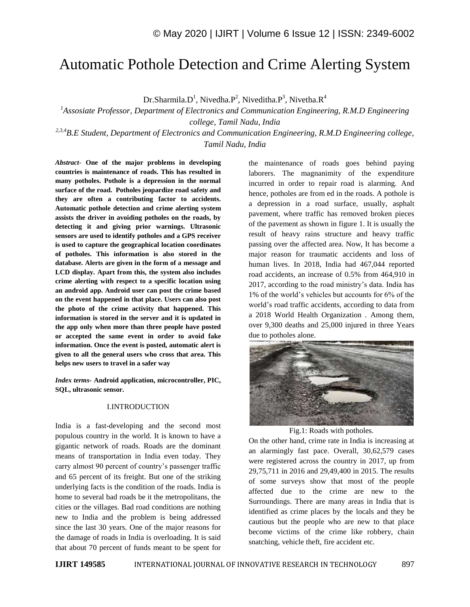# Automatic Pothole Detection and Crime Alerting System

Dr.Sharmila.D<sup>1</sup>, Nivedha.P<sup>2</sup>, Niveditha.P<sup>3</sup>, Nivetha.R<sup>4</sup>

*<sup>1</sup>Assosiate Professor, Department of Electronics and Communication Engineering, R.M.D Engineering college, Tamil Nadu, India*

*2,3,4B.E Student, Department of Electronics and Communication Engineering, R.M.D Engineering college, Tamil Nadu, India*

*Abstract*- **One of the major problems in developing countries is maintenance of roads. This has resulted in many potholes. Pothole is a depression in the normal surface of the road. Potholes jeopardize road safety and they are often a contributing factor to accidents. Automatic pothole detection and crime alerting system assists the driver in avoiding potholes on the roads, by detecting it and giving prior warnings. Ultrasonic sensors are used to identify potholes and a GPS receiver is used to capture the geographical location coordinates of potholes. This information is also stored in the database. Alerts are given in the form of a message and LCD display. Apart from this, the system also includes crime alerting with respect to a specific location using an android app. Android user can post the crime based on the event happened in that place. Users can also post the photo of the crime activity that happened. This information is stored in the server and it is updated in the app only when more than three people have posted or accepted the same event in order to avoid fake information. Once the event is posted, automatic alert is given to all the general users who cross that area. This helps new users to travel in a safer way**

*Index terms***- Android application, microcontroller, PIC, SQL, ultrasonic sensor.**

#### I.INTRODUCTION

India is a fast-developing and the second most populous country in the world. It is known to have a gigantic network of roads. Roads are the dominant means of transportation in India even today. They carry almost 90 percent of country's passenger traffic and 65 percent of its freight. But one of the striking underlying facts is the condition of the roads. India is home to several bad roads be it the metropolitans, the cities or the villages. Bad road conditions are nothing new to India and the problem is being addressed since the last 30 years. One of the major reasons for the damage of roads in India is overloading. It is said that about 70 percent of funds meant to be spent for

the maintenance of roads goes behind paying laborers. The magnanimity of the expenditure incurred in order to repair road is alarming. And hence, potholes are from ed in the roads. A pothole is a depression in a road surface, usually, asphalt pavement, where traffic has removed broken pieces of the pavement as shown in figure 1. It is usually the result of heavy rains structure and heavy traffic passing over the affected area. Now, It has become a major reason for traumatic accidents and loss of human lives. In 2018, India had 467,044 reported road accidents, an increase of 0.5% from 464,910 in 2017, according to the road ministry's data. India has 1% of the world's vehicles but accounts for 6% of the world's road traffic accidents, according to data from a 2018 World Health Organization . Among them, over 9,300 deaths and 25,000 injured in three Years due to potholes alone.



Fig.1: Roads with potholes.

On the other hand, crime rate in India is increasing at an alarmingly fast pace. Overall, 30,62,579 cases were registered across the country in 2017, up from 29,75,711 in 2016 and 29,49,400 in 2015. The results of some surveys show that most of the people affected due to the crime are new to the Surroundings. There are many areas in India that is identified as crime places by the locals and they be cautious but the people who are new to that place become victims of the crime like robbery, chain snatching, vehicle theft, fire accident etc.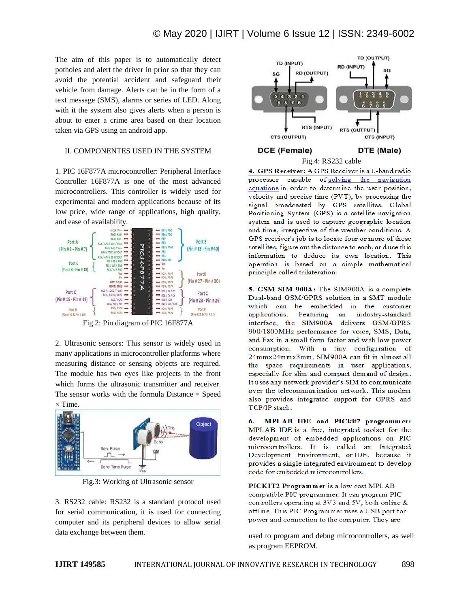The aim of this paper is to automatically detect potholes and alert the driver in prior so that they can avoid the potential accident and safeguard their vehicle from damage. Alerts can be in the form of a text message (SMS), alarms or series of LED. Along with it the system also gives alerts when a person is about to enter a crime area based on their location taken via GPS using an android app.

### II. COMPONENTES USED IN THE SYSTEM

1. PIC 16F877A microcontroller: Peripheral Interface Controller 16F877A is one of the most advanced microcontrollers. This controller is widely used for experimental and modern applications because of its low price, wide range of applications, high quality, and ease of availability.



Fig.2: Pin diagram of PIC 16F877A

2. Ultrasonic sensors: This sensor is widely used in many applications in microcontroller platforms where measuring distance or sensing objects are required. The module has two eyes like projects in the front which forms the ultrasonic transmitter and receiver. The sensor works with the formula Distance = Speed  $\times$  Time.



Fig.3: Working of Ultrasonic sensor

3. RS232 cable: RS232 is a standard protocol used for serial communication, it is used for connecting computer and its peripheral devices to allow serial data exchange between them.



4. GPS Receiver: A GPS Receiver is a L-band radio processor capable of solving the navigation equations in order to determine the user position, velocity and precise time (PVT), by processing the signal broadcasted by GPS satellites. Global Positioning System (GPS) is a satellite navigation system and is used to capture geographic location and time, irrespective of the weather conditions. A GPS receiver's job is to locate four or more of these satellites, figure out the distance to each, and use this information to deduce its own location. This operation is based on a simple mathematical principle called trilateration.

5. GSM SIM 900A: The SIM900A is a complete Dual-band GSM/GPRS solution in a SMT module which can be embedded in the customer industry-standard applications. Featuring an interface, the SIM900A delivers GSM/GPRS 900/1800MHz performance for voice, SMS, Data, and Fax in a small form factor and with low power consumption. With a tiny configuration of 24mmx24mmx3mm, SIM900A can fit in almost all the space requirements in user applications, especially for slim and compact demand of design. It uses any network provider's SIM to communicate over the telecommunication network. This modem also provides integrated support for GPRS and TCP/IP stack.

MPLAB IDE and PICkit2 programmer: 6. MPLAB IDE is a free, integrated toolset for the development of embedded applications on PIC microcontrollers. It is called an Integrated Development Environment, or IDE, because it provides a single integrated environment to develop code for embedded microcontrollers.

PICKIT2 Programmer is a low cost MPLAB compatible PIC programmer. It can program PIC controllers operating at 3V3 and 5V, both online & offline. This PIC Programmer uses a USB port for power and connection to the computer. They are

used to program and debug microcontrollers, as well as program EEPROM.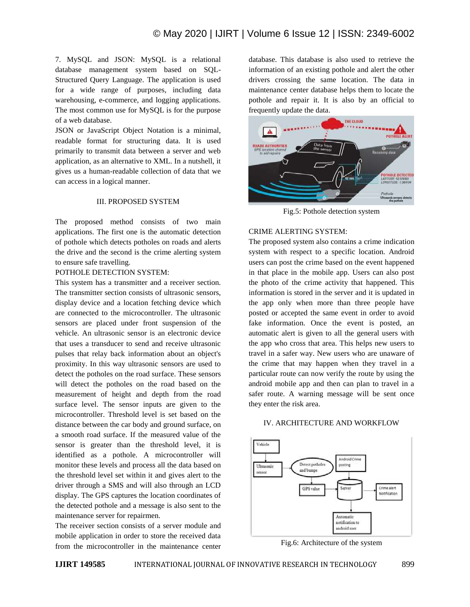7. MySQL and JSON: MySQL is a relational database management system based on SQL-Structured Query Language. The application is used for a wide range of purposes, including data warehousing, e-commerce, and logging applications. The most common use for MySQL is for the purpose of a web database.

JSON or JavaScript Object Notation is a minimal, readable format for structuring data. It is used primarily to transmit data between a server and web application, as an alternative to XML. In a nutshell, it gives us a human-readable collection of data that we can access in a logical manner.

### III. PROPOSED SYSTEM

The proposed method consists of two main applications. The first one is the automatic detection of pothole which detects potholes on roads and alerts the drive and the second is the crime alerting system to ensure safe travelling.

#### POTHOLE DETECTION SYSTEM:

This system has a transmitter and a receiver section. The transmitter section consists of ultrasonic sensors, display device and a location fetching device which are connected to the microcontroller. The ultrasonic sensors are placed under front suspension of the vehicle. An ultrasonic sensor is an electronic device that uses a transducer to send and receive ultrasonic pulses that relay back information about an object's proximity. In this way ultrasonic sensors are used to detect the potholes on the road surface. These sensors will detect the potholes on the road based on the measurement of height and depth from the road surface level. The sensor inputs are given to the microcontroller. Threshold level is set based on the distance between the car body and ground surface, on a smooth road surface. If the measured value of the sensor is greater than the threshold level, it is identified as a pothole. A microcontroller will monitor these levels and process all the data based on the threshold level set within it and gives alert to the driver through a SMS and will also through an LCD display. The GPS captures the location coordinates of the detected pothole and a message is also sent to the maintenance server for repairmen.

The receiver section consists of a server module and mobile application in order to store the received data from the microcontroller in the maintenance center database. This database is also used to retrieve the information of an existing pothole and alert the other drivers crossing the same location. The data in maintenance center database helps them to locate the pothole and repair it. It is also by an official to frequently update the data.



Fig.5: Pothole detection system

### CRIME ALERTING SYSTEM:

The proposed system also contains a crime indication system with respect to a specific location. Android users can post the crime based on the event happened in that place in the mobile app. Users can also post the photo of the crime activity that happened. This information is stored in the server and it is updated in the app only when more than three people have posted or accepted the same event in order to avoid fake information. Once the event is posted, an automatic alert is given to all the general users with the app who cross that area. This helps new users to travel in a safer way. New users who are unaware of the crime that may happen when they travel in a particular route can now verify the route by using the android mobile app and then can plan to travel in a safer route. A warning message will be sent once they enter the risk area.

#### IV. ARCHITECTURE AND WORKFLOW



Fig.6: Architecture of the system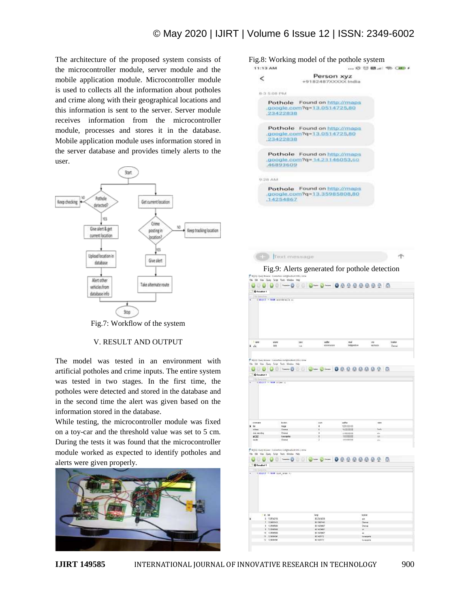**CD** fext message

The architecture of the proposed system consists of the microcontroller module, server module and the mobile application module. Microcontroller module is used to collects all the information about potholes and crime along with their geographical locations and this information is sent to the server. Server module receives information from the microcontroller module, processes and stores it in the database. Mobile application module uses information stored in the server database and provides timely alerts to the user.



Fig.7: Workflow of the system

#### V. RESULT AND OUTPUT

The model was tested in an environment with artificial potholes and crime inputs. The entire system was tested in two stages. In the first time, the potholes were detected and stored in the database and in the second time the alert was given based on the information stored in the database.

While testing, the microcontroller module was fixed on a toy-car and the threshold value was set to 5 cm. During the tests it was found that the microcontroller module worked as expected to identify potholes and alerts were given properly.



Fig.8: Working model of the pothole system 11:13.6M ... @ 120 60 ... | 400 CAID #

| 23422838      | Pothole Found on http://maps<br>.google.com?q=13.0514725,80  |
|---------------|--------------------------------------------------------------|
| 23422838      | Pothole Found on http://maps<br>.google.com?q=13.0514725,80  |
| 46893609      | Pothole Found on http://maps<br>.google.com?g=14.23146053.60 |
| <b>MARISH</b> |                                                              |
| 14254867      | Pothole Found on http://maps<br>google.com?g=13.35985808,80  |

Fig.9: Alerts generated for pothole detection



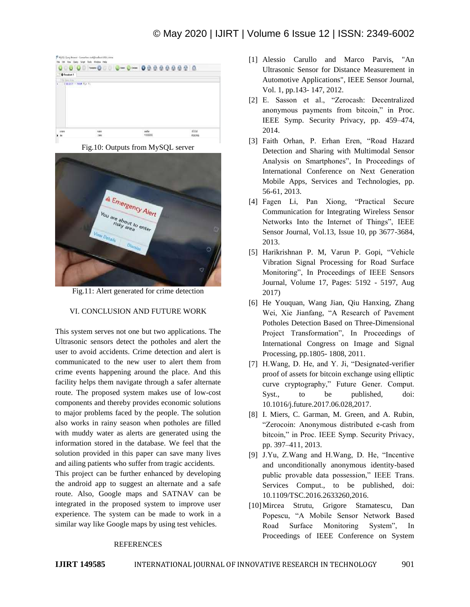

Fig.10: Outputs from MySQL server



Fig.11: Alert generated for crime detection

## VI. CONCLUSION AND FUTURE WORK

This system serves not one but two applications. The Ultrasonic sensors detect the potholes and alert the user to avoid accidents. Crime detection and alert is communicated to the new user to alert them from crime events happening around the place. And this facility helps them navigate through a safer alternate route. The proposed system makes use of low-cost components and thereby provides economic solutions to major problems faced by the people. The solution also works in rainy season when potholes are filled with muddy water as alerts are generated using the information stored in the database. We feel that the solution provided in this paper can save many lives and ailing patients who suffer from tragic accidents.

This project can be further enhanced by developing the android app to suggest an alternate and a safe route. Also, Google maps and SATNAV can be integrated in the proposed system to improve user experience. The system can be made to work in a similar way like Google maps by using test vehicles.

## **REFERENCES**

- [1] Alessio Carullo and Marco Parvis, "An Ultrasonic Sensor for Distance Measurement in Automotive Applications", IEEE Sensor Journal, Vol. 1, pp.143- 147, 2012.
- [2] E. Sasson et al., "Zerocash: Decentralized anonymous payments from bitcoin," in Proc. IEEE Symp. Security Privacy, pp. 459–474, 2014.
- [3] Faith Orhan, P. Erhan Eren, "Road Hazard Detection and Sharing with Multimodal Sensor Analysis on Smartphones", In Proceedings of International Conference on Next Generation Mobile Apps, Services and Technologies, pp. 56-61, 2013.
- [4] Fagen Li, Pan Xiong, "Practical Secure Communication for Integrating Wireless Sensor Networks Into the Internet of Things", IEEE Sensor Journal, Vol.13, Issue 10, pp 3677-3684, 2013.
- [5] Harikrishnan P. M, Varun P. Gopi, "Vehicle Vibration Signal Processing for Road Surface Monitoring", In Proceedings of IEEE Sensors Journal, Volume 17, Pages: 5192 - 5197, Aug 2017)
- [6] He Youquan, Wang Jian, Qiu Hanxing, Zhang Wei, Xie Jianfang, "A Research of Pavement Potholes Detection Based on Three-Dimensional Project Transformation", In Proceedings of International Congress on Image and Signal Processing, pp.1805- 1808, 2011.
- [7] H.Wang, D. He, and Y. Ji, "Designated-verifier proof of assets for bitcoin exchange using elliptic curve cryptography," Future Gener. Comput. Syst., to be published, doi: 10.1016/j.future.2017.06.028,2017.
- [8] I. Miers, C. Garman, M. Green, and A. Rubin, "Zerocoin: Anonymous distributed e-cash from bitcoin," in Proc. IEEE Symp. Security Privacy, pp. 397–411, 2013.
- [9] J.Yu, Z.Wang and H.Wang, D. He, "Incentive and unconditionally anonymous identity-based public provable data possession," IEEE Trans. Services Comput., to be published, doi: 10.1109/TSC.2016.2633260,2016.
- [10]Mircea Strutu, Grigore Stamatescu, Dan Popescu, "A Mobile Sensor Network Based Road Surface Monitoring System", In Proceedings of IEEE Conference on System